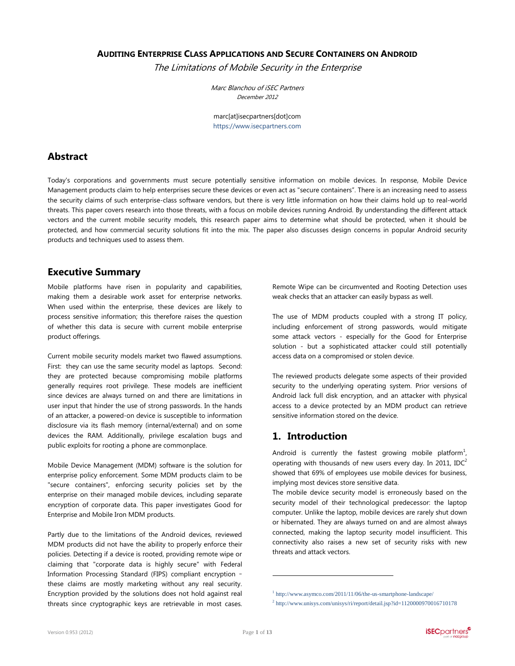#### **AUDITING ENTERPRISE CLASS APPLICATIONS AND SECURE CONTAINERS ON ANDROID**

The Limitations of Mobile Security in the Enterprise

Marc Blanchou of iSEC Partners December 2012

marc[at]isecpartners[dot]com [https://www.isecpartners.com](https://www.isecpartners.com/)

### **Abstract**

Today's corporations and governments must secure potentially sensitive information on mobile devices. In response, Mobile Device Management products claim to help enterprises secure these devices or even act as "secure containers". There is an increasing need to assess the security claims of such enterprise-class software vendors, but there is very little information on how their claims hold up to real-world threats. This paper covers research into those threats, with a focus on mobile devices running Android. By understanding the different attack vectors and the current mobile security models, this research paper aims to determine what should be protected, when it should be protected, and how commercial security solutions fit into the mix. The paper also discusses design concerns in popular Android security products and techniques used to assess them.

### **Executive Summary**

Mobile platforms have risen in popularity and capabilities, making them a desirable work asset for enterprise networks. When used within the enterprise, these devices are likely to process sensitive information; this therefore raises the question of whether this data is secure with current mobile enterprise product offerings.

Current mobile security models market two flawed assumptions. First: they can use the same security model as laptops. Second: they are protected because compromising mobile platforms generally requires root privilege. These models are inefficient since devices are always turned on and there are limitations in user input that hinder the use of strong passwords. In the hands of an attacker, a powered-on device is susceptible to information disclosure via its flash memory (internal/external) and on some devices the RAM. Additionally, privilege escalation bugs and public exploits for rooting a phone are commonplace.

Mobile Device Management (MDM) software is the solution for enterprise policy enforcement. Some MDM products claim to be "secure containers", enforcing security policies set by the enterprise on their managed mobile devices, including separate encryption of corporate data. This paper investigates Good for Enterprise and Mobile Iron MDM products.

Partly due to the limitations of the Android devices, reviewed MDM products did not have the ability to properly enforce their policies. Detecting if a device is rooted, providing remote wipe or claiming that "corporate data is highly secure" with Federal Information Processing Standard (FIPS) compliant encryption – these claims are mostly marketing without any real security. Encryption provided by the solutions does not hold against real threats since cryptographic keys are retrievable in most cases.

Remote Wipe can be circumvented and Rooting Detection uses weak checks that an attacker can easily bypass as well.

The use of MDM products coupled with a strong IT policy, including enforcement of strong passwords, would mitigate some attack vectors - especially for the Good for Enterprise solution - but a sophisticated attacker could still potentially access data on a compromised or stolen device.

The reviewed products delegate some aspects of their provided security to the underlying operating system. Prior versions of Android lack full disk encryption, and an attacker with physical access to a device protected by an MDM product can retrieve sensitive information stored on the device.

# **1. Introduction**

Android is currently the fastest growing mobile platform<sup>1</sup>, operating with thousands of new users every day. In 2011, IDC<sup>2</sup> showed that 69% of employees use mobile devices for business, implying most devices store sensitive data.

The mobile device security model is erroneously based on the security model of their technological predecessor: the laptop computer. Unlike the laptop, mobile devices are rarely shut down or hibernated. They are always turned on and are almost always connected, making the laptop security model insufficient. This connectivity also raises a new set of security risks with new threats and attack vectors.

<sup>1</sup> <http://www.asymco.com/2011/11/06/the-us-smartphone-landscape/>

<sup>&</sup>lt;sup>2</sup> <http://www.unisys.com/unisys/ri/report/detail.jsp?id=1120000970016710178>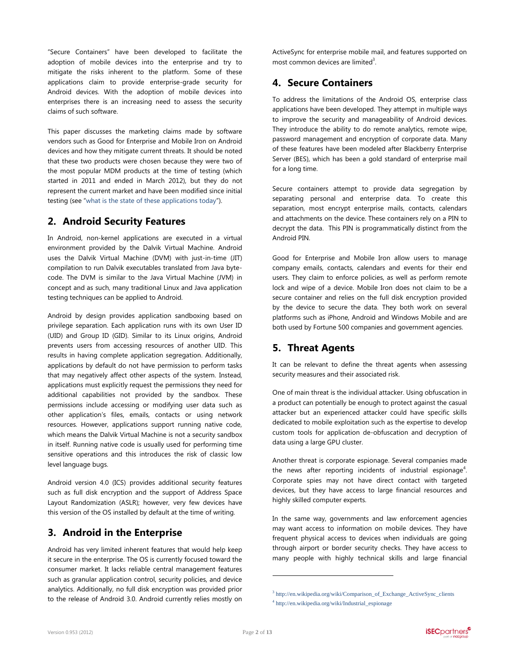"Secure Containers" have been developed to facilitate the adoption of mobile devices into the enterprise and try to mitigate the risks inherent to the platform. Some of these applications claim to provide enterprise-grade security for Android devices. With the adoption of mobile devices into enterprises there is an increasing need to assess the security claims of such software.

This paper discusses the marketing claims made by software vendors such as Good for Enterprise and Mobile Iron on Android devices and how they mitigate current threats. It should be noted that these two products were chosen because they were two of the most popular MDM products at the time of testing (which started in 2011 and ended in March 2012), but they do not represent the current market and have been modified since initial testing (see "[what is the state of these applications today](#page-8-0)").

## **2. Android Security Features**

In Android, non-kernel applications are executed in a virtual environment provided by the Dalvik Virtual Machine. Android uses the Dalvik Virtual Machine (DVM) with just-in-time (JIT) compilation to run Dalvik executables translated from Java bytecode. The DVM is similar to the Java Virtual Machine (JVM) in concept and as such, many traditional Linux and Java application testing techniques can be applied to Android.

Android by design provides application sandboxing based on privilege separation. Each application runs with its own User ID (UID) and Group ID (GID). Similar to its Linux origins, Android prevents users from accessing resources of another UID. This results in having complete application segregation. Additionally, applications by default do not have permission to perform tasks that may negatively affect other aspects of the system. Instead, applications must explicitly request the permissions they need for additional capabilities not provided by the sandbox. These permissions include accessing or modifying user data such as other application's files, emails, contacts or using network resources. However, applications support running native code, which means the Dalvik Virtual Machine is not a security sandbox in itself. Running native code is usually used for performing time sensitive operations and this introduces the risk of classic low level language bugs.

Android version 4.0 (ICS) provides additional security features such as full disk encryption and the support of Address Space Layout Randomization (ASLR); however, very few devices have this version of the OS installed by default at the time of writing.

# **3. Android in the Enterprise**

Android has very limited inherent features that would help keep it secure in the enterprise. The OS is currently focused toward the consumer market. It lacks reliable central management features such as granular application control, security policies, and device analytics. Additionally, no full disk encryption was provided prior to the release of Android 3.0. Android currently relies mostly on ActiveSync for enterprise mobile mail, and features supported on most common devices are limited<sup>3</sup>.

# **4. Secure Containers**

To address the limitations of the Android OS, enterprise class applications have been developed. They attempt in multiple ways to improve the security and manageability of Android devices. They introduce the ability to do remote analytics, remote wipe, password management and encryption of corporate data. Many of these features have been modeled after Blackberry Enterprise Server (BES), which has been a gold standard of enterprise mail for a long time.

Secure containers attempt to provide data segregation by separating personal and enterprise data. To create this separation, most encrypt enterprise mails, contacts, calendars and attachments on the device. These containers rely on a PIN to decrypt the data. This PIN is programmatically distinct from the Android PIN.

Good for Enterprise and Mobile Iron allow users to manage company emails, contacts, calendars and events for their end users. They claim to enforce policies, as well as perform remote lock and wipe of a device. Mobile Iron does not claim to be a secure container and relies on the full disk encryption provided by the device to secure the data. They both work on several platforms such as iPhone, Android and Windows Mobile and are both used by Fortune 500 companies and government agencies.

# **5. Threat Agents**

It can be relevant to define the threat agents when assessing security measures and their associated risk.

One of main threat is the individual attacker. Using obfuscation in a product can potentially be enough to protect against the casual attacker but an experienced attacker could have specific skills dedicated to mobile exploitation such as the expertise to develop custom tools for application de-obfuscation and decryption of data using a large GPU cluster.

Another threat is corporate espionage. Several companies made the news after reporting incidents of industrial espionage<sup>4</sup>. Corporate spies may not have direct contact with targeted devices, but they have access to large financial resources and highly skilled computer experts.

In the same way, governments and law enforcement agencies may want access to information on mobile devices. They have frequent physical access to devices when individuals are going through airport or border security checks. They have access to many people with highly technical skills and large financial

<sup>&</sup>lt;sup>3</sup> [http://en.wikipedia.org/wiki/Comparison\\_of\\_Exchange\\_ActiveSync\\_clients](http://en.wikipedia.org/wiki/Comparison_of_Exchange_ActiveSync_clients)

<sup>4</sup> [http://en.wikipedia.org/wiki/Industrial\\_espionage](http://en.wikipedia.org/wiki/Industrial_espionage)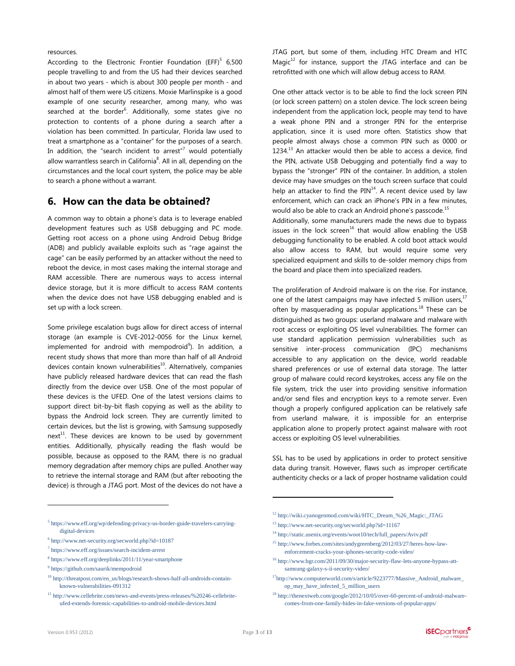resources.

According to the Electronic Frontier Foundation  $(EFF)^5$  6,500 people travelling to and from the US had their devices searched in about two years - which is about 300 people per month - and almost half of them were US citizens. Moxie Marlinspike is a good example of one security researcher, among many, who was searched at the border<sup>6</sup>. Additionally, some states give no protection to contents of a phone during a search after a violation has been committed. In particular, Florida law used to treat a smartphone as a "container" for the purposes of a search. In addition, the "search incident to arrest" $7$  would potentially allow warrantless search in California<sup>8</sup>. All in all, depending on the circumstances and the local court system, the police may be able to search a phone without a warrant.

### <span id="page-2-0"></span>**6. How can the data be obtained?**

A common way to obtain a phone's data is to leverage enabled development features such as USB debugging and PC mode. Getting root access on a phone using Android Debug Bridge (ADB) and publicly available exploits such as "rage against the cage" can be easily performed by an attacker without the need to reboot the device, in most cases making the internal storage and RAM accessible. There are numerous ways to access internal device storage, but it is more difficult to access RAM contents when the device does not have USB debugging enabled and is set up with a lock screen.

Some privilege escalation bugs allow for direct access of internal storage (an example is CVE-2012-0056 for the Linux kernel, implemented for android with mempodroid<sup>9</sup>). In addition, a recent study shows that more than more than half of all Android devices contain known vulnerabilities<sup>10</sup>. Alternatively, companies have publicly released hardware devices that can read the flash directly from the device over USB. One of the most popular of these devices is the UFED. One of the latest versions claims to support direct bit-by-bit flash copying as well as the ability to bypass the Android lock screen. They are currently limited to certain devices, but the list is growing, with Samsung supposedly next<sup>11</sup>. These devices are known to be used by government entities. Additionally, physically reading the flash would be possible, because as opposed to the RAM, there is no gradual memory degradation after memory chips are pulled. Another way to retrieve the internal storage and RAM (but after rebooting the device) is through a JTAG port. Most of the devices do not have a

- 6 <http://www.net-security.org/secworld.php?id=10187>
- 7 <https://www.eff.org/issues/search-incident-arrest>

- 9 <https://github.com/saurik/mempodroid>
- <sup>10</sup> [http://threatpost.com/en\\_us/blogs/research-shows-half-all-androids-contain](http://threatpost.com/en_us/blogs/research-shows-half-all-androids-contain-known-vulnerabilities-091312)[known-vulnerabilities-091312](http://threatpost.com/en_us/blogs/research-shows-half-all-androids-contain-known-vulnerabilities-091312)

JTAG port, but some of them, including HTC Dream and HTC Magic $12$  for instance, support the JTAG interface and can be retrofitted with one which will allow debug access to RAM.

One other attack vector is to be able to find the lock screen PIN (or lock screen pattern) on a stolen device. The lock screen being independent from the application lock, people may tend to have a weak phone PIN and a stronger PIN for the enterprise application, since it is used more often. Statistics show that people almost always chose a common PIN such as 0000 or  $1234<sup>13</sup>$  An attacker would then be able to access a device, find the PIN, activate USB Debugging and potentially find a way to bypass the "stronger" PIN of the container. In addition, a stolen device may have smudges on the touch screen surface that could help an attacker to find the PIN $^{14}$ . A recent device used by law enforcement, which can crack an iPhone's PIN in a few minutes, would also be able to crack an Android phone's passcode.<sup>15</sup>

Additionally, some manufacturers made the news due to bypass issues in the lock screen<sup>16</sup> that would allow enabling the USB debugging functionality to be enabled. A cold boot attack would also allow access to RAM, but would require some very specialized equipment and skills to de-solder memory chips from the board and place them into specialized readers.

The proliferation of Android malware is on the rise. For instance, one of the latest campaigns may have infected 5 million users, $17$ often by masquerading as popular applications.<sup>18</sup> These can be distinguished as two groups: userland malware and malware with root access or exploiting OS level vulnerabilities. The former can use standard application permission vulnerabilities such as sensitive inter-process communication (IPC) mechanisms accessible to any application on the device, world readable shared preferences or use of external data storage. The latter group of malware could record keystrokes, access any file on the file system, trick the user into providing sensitive information and/or send files and encryption keys to a remote server. Even though a properly configured application can be relatively safe from userland malware, it is impossible for an enterprise application alone to properly protect against malware with root access or exploiting OS level vulnerabilities.

SSL has to be used by applications in order to protect sensitive data during transit. However, flaws such as improper certificate authenticity checks or a lack of proper hostname validation could

- <sup>12</sup> [http://wiki.cyanogenmod.com/wiki/HTC\\_Dream\\_%26\\_Magic:\\_JTAG](http://wiki.cyanogenmod.com/wiki/HTC_Dream_%26_Magic:_JTAG)
- <sup>13</sup> <http://www.net-security.org/secworld.php?id=11167>
- <sup>14</sup> [http://static.usenix.org/events/woot10/tech/full\\_papers/Aviv.pdf](http://static.usenix.org/events/woot10/tech/full_papers/Aviv.pdf)
- <sup>15</sup> [http://www.forbes.com/sites/andygreenberg/2012/03/27/heres-how-law](http://www.forbes.com/sites/andygreenberg/2012/03/27/heres-how-law-enforcement-cracks-your-iphones-security-code-video/)[enforcement-cracks-your-iphones-security-code-video/](http://www.forbes.com/sites/andygreenberg/2012/03/27/heres-how-law-enforcement-cracks-your-iphones-security-code-video/)
- $^{16}$ [http://www.bgr.com/2011/09/30/major-security-flaw-lets-anyone-bypass-att](http://www.bgr.com/2011/09/30/major-security-flaw-lets-anyone-bypass-att-samsung-galaxy-s-ii-security-video/)[samsung-galaxy-s-ii-security-video/](http://www.bgr.com/2011/09/30/major-security-flaw-lets-anyone-bypass-att-samsung-galaxy-s-ii-security-video/)
- <sup>17</sup>[http://www.computerworld.com/s/article/9223777/Massive\\_Android\\_malware\\_](http://www.computerworld.com/s/article/9223777/Massive_Android_malware_op_may_have_infected_5_million_users) [op\\_may\\_have\\_infected\\_5\\_million\\_users](http://www.computerworld.com/s/article/9223777/Massive_Android_malware_op_may_have_infected_5_million_users)
- <sup>18</sup> [http://thenextweb.com/google/2012/10/05/over-60-percent-of-android-malware](http://thenextweb.com/google/2012/10/05/over-60-percent-of-android-malware-comes-from-one-family-hides-in-fake-versions-of-popular-apps/)[comes-from-one-family-hides-in-fake-versions-of-popular-apps/](http://thenextweb.com/google/2012/10/05/over-60-percent-of-android-malware-comes-from-one-family-hides-in-fake-versions-of-popular-apps/)

 $\overline{a}$ 

<sup>&</sup>lt;sup>5</sup> [https://www.eff.org/wp/defending-privacy-us-border-guide-travelers-carrying](https://www.eff.org/wp/defending-privacy-us-border-guide-travelers-carrying-digital-devices)[digital-devices](https://www.eff.org/wp/defending-privacy-us-border-guide-travelers-carrying-digital-devices)

<sup>8</sup> <https://www.eff.org/deeplinks/2011/11/year-smartphone>

<sup>11</sup> [http://www.cellebrite.com/news-and-events/press-releases/%20246-cellebrite](http://www.cellebrite.com/news-and-events/press-releases/%20246-cellebrite-ufed-extends-forensic-capabilities-to-android-mobile-devices.html)[ufed-extends-forensic-capabilities-to-android-mobile-devices.html](http://www.cellebrite.com/news-and-events/press-releases/%20246-cellebrite-ufed-extends-forensic-capabilities-to-android-mobile-devices.html)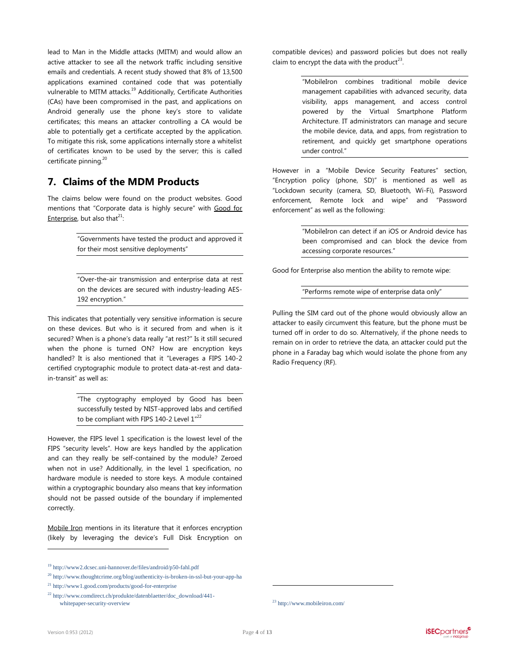lead to Man in the Middle attacks (MITM) and would allow an active attacker to see all the network traffic including sensitive emails and credentials. A recent study showed that 8% of 13,500 applications examined contained code that was potentially vulnerable to MITM attacks.<sup>19</sup> Additionally, Certificate Authorities (CAs) have been compromised in the past, and applications on Android generally use the phone key's store to validate certificates; this means an attacker controlling a CA would be able to potentially get a certificate accepted by the application. To mitigate this risk, some applications internally store a whitelist of certificates known to be used by the server; this is called certificate pinning.<sup>20</sup>

## **7. Claims of the MDM Products**

The claims below were found on the product websites. Good mentions that "Corporate data is highly secure" with Good for Enterprise, but also that $^{21}$ :

> "Governments have tested the product and approved it for their most sensitive deployments"

> "Over-the-air transmission and enterprise data at rest on the devices are secured with industry-leading AES-192 encryption."

This indicates that potentially very sensitive information is secure on these devices. But who is it secured from and when is it secured? When is a phone's data really "at rest?" Is it still secured when the phone is turned ON? How are encryption keys handled? It is also mentioned that it "Leverages a FIPS 140-2 certified cryptographic module to protect data-at-rest and datain-transit" as well as:

> "The cryptography employed by Good has been successfully tested by NIST-approved labs and certified to be compliant with FIPS 140-2 Level  $1^{22}$

However, the FIPS level 1 specification is the lowest level of the FIPS "security levels". How are keys handled by the application and can they really be self-contained by the module? Zeroed when not in use? Additionally, in the level 1 specification, no hardware module is needed to store keys. A module contained within a cryptographic boundary also means that key information should not be passed outside of the boundary if implemented correctly.

Mobile Iron mentions in its literature that it enforces encryption (likely by leveraging the device's Full Disk Encryption on compatible devices) and password policies but does not really claim to encrypt the data with the product<sup>23</sup>.

> "MobileIron combines traditional mobile device management capabilities with advanced security, data visibility, apps management, and access control powered by the Virtual Smartphone Platform Architecture. IT administrators can manage and secure the mobile device, data, and apps, from registration to retirement, and quickly get smartphone operations under control."

However in a "Mobile Device Security Features" section, "Encryption policy (phone, SD)" is mentioned as well as "Lockdown security (camera, SD, Bluetooth, Wi-Fi), Password enforcement, Remote lock and wipe" and "Password enforcement" as well as the following:

> "MobileIron can detect if an iOS or Android device has been compromised and can block the device from accessing corporate resources."

Good for Enterprise also mention the ability to remote wipe:

"Performs remote wipe of enterprise data only"

Pulling the SIM card out of the phone would obviously allow an attacker to easily circumvent this feature, but the phone must be turned off in order to do so. Alternatively, if the phone needs to remain on in order to retrieve the data, an attacker could put the phone in a Faraday bag which would isolate the phone from any Radio Frequency (RF).

 $\overline{a}$ 

<sup>19</sup> <http://www2.dcsec.uni-hannover.de/files/android/p50-fahl.pdf>

<sup>20</sup> <http://www.thoughtcrime.org/blog/authenticity-is-broken-in-ssl-but-your-app-ha>

<sup>21</sup> <http://www1.good.com/products/good-for-enterprise>

<sup>22</sup> [http://www.comdirect.ch/produkte/datenblaetter/doc\\_download/441](http://www.comdirect.ch/produkte/datenblaetter/doc_download/441-whitepaper-security-overview) [whitepaper-security-overview](http://www.comdirect.ch/produkte/datenblaetter/doc_download/441-whitepaper-security-overview)

<sup>23</sup> <http://www.mobileiron.com/>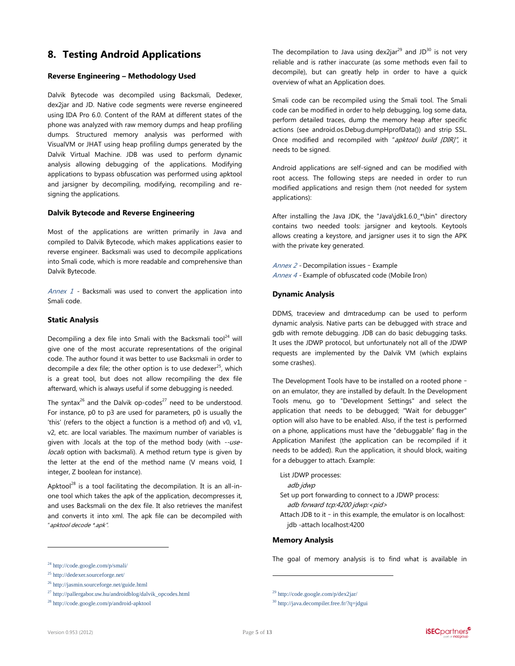# **8. Testing Android Applications**

#### **Reverse Engineering – Methodology Used**

Dalvik Bytecode was decompiled using Backsmali, Dedexer, dex2jar and JD. Native code segments were reverse engineered using IDA Pro 6.0. Content of the RAM at different states of the phone was analyzed with raw memory dumps and heap profiling dumps. Structured memory analysis was performed with VisualVM or JHAT using heap profiling dumps generated by the Dalvik Virtual Machine. JDB was used to perform dynamic analysis allowing debugging of the applications. Modifying applications to bypass obfuscation was performed using apktool and jarsigner by decompiling, modifying, recompiling and resigning the applications.

#### **Dalvik Bytecode and Reverse Engineering**

Most of the applications are written primarily in Java and compiled to Dalvik Bytecode, which makes applications easier to reverse engineer. Backsmali was used to decompile applications into Smali code, which is more readable and comprehensive than Dalvik Bytecode.

[Annex 1](#page-9-0) - Backsmali was used to convert the application into Smali code.

#### **Static Analysis**

Decompiling a dex file into Smali with the Backsmali tool<sup>24</sup> will give one of the most accurate representations of the original code. The author found it was better to use Backsmali in order to decompile a dex file; the other option is to use dedexer<sup>25</sup>, which is a great tool, but does not allow recompiling the dex file afterward, which is always useful if some debugging is needed.

The syntax<sup>26</sup> and the Dalvik op-codes<sup>27</sup> need to be understood. For instance, p0 to p3 are used for parameters, p0 is usually the 'this' (refers to the object a function is a method of) and v0, v1, v2, etc. are local variables. The maximum number of variables is given with .locals at the top of the method body (with --uselocals option with backsmali). A method return type is given by the letter at the end of the method name (V means void, I integer, Z boolean for instance).

Apktool<sup>28</sup> is a tool facilitating the decompilation. It is an all-inone tool which takes the apk of the application, decompresses it, and uses Backsmali on the dex file. It also retrieves the manifest and converts it into xml. The apk file can be decompiled with "apktool decode \*.apk".

The decompilation to Java using dex2jar<sup>29</sup> and JD<sup>30</sup> is not very reliable and is rather inaccurate (as some methods even fail to decompile), but can greatly help in order to have a quick overview of what an Application does.

Smali code can be recompiled using the Smali tool. The Smali code can be modified in order to help debugging, log some data, perform detailed traces, dump the memory heap after specific actions (see android.os.Debug.dumpHprofData()) and strip SSL. Once modified and recompiled with "apktool build [DIR]", it needs to be signed.

Android applications are self-signed and can be modified with root access. The following steps are needed in order to run modified applications and resign them (not needed for system applications):

After installing the Java JDK, the "Java\jdk1.6.0 \*\bin" directory contains two needed tools: jarsigner and keytools. Keytools allows creating a keystore, and jarsigner uses it to sign the APK with the private key generated.

[Annex 2](#page-9-1) - Decompilation issues – Example [Annex 4](#page-10-0) - Example of obfuscated code (Mobile Iron)

#### **Dynamic Analysis**

DDMS, traceview and dmtracedump can be used to perform dynamic analysis. Native parts can be debugged with strace and gdb with remote debugging. JDB can do basic debugging tasks. It uses the JDWP protocol, but unfortunately not all of the JDWP requests are implemented by the Dalvik VM (which explains some crashes).

The Development Tools have to be installed on a rooted phone – on an emulator, they are installed by default. In the Development Tools menu, go to "Development Settings" and select the application that needs to be debugged; "Wait for debugger" option will also have to be enabled. Also, if the test is performed on a phone, applications must have the "debuggable" flag in the Application Manifest (the application can be recompiled if it needs to be added). Run the application, it should block, waiting for a debugger to attach. Example:

List JDWP processes: adb jdwp Set up port forwarding to connect to a JDWP process: adb forward tcp:4200 jdwp:<pid> Attach JDB to it – in this example, the emulator is on localhost: jdb -attach localhost:4200

#### **Memory Analysis**

The goal of memory analysis is to find what is available in

 $\overline{a}$ 

<sup>24</sup> <http://code.google.com/p/smali/>

<sup>25</sup> <http://dedexer.sourceforge.net/>

<sup>26</sup> <http://jasmin.sourceforge.net/guide.html>

 $^{27}$ [http://pallergabor.uw.hu/androidblog/dalvik\\_opcodes.html](http://pallergabor.uw.hu/androidblog/dalvik_opcodes.html)

<sup>28</sup> <http://code.google.com/p/android-apktool>

<sup>29</sup> <http://code.google.com/p/dex2jar/>

<sup>30</sup> <http://java.decompiler.free.fr/?q=jdgui>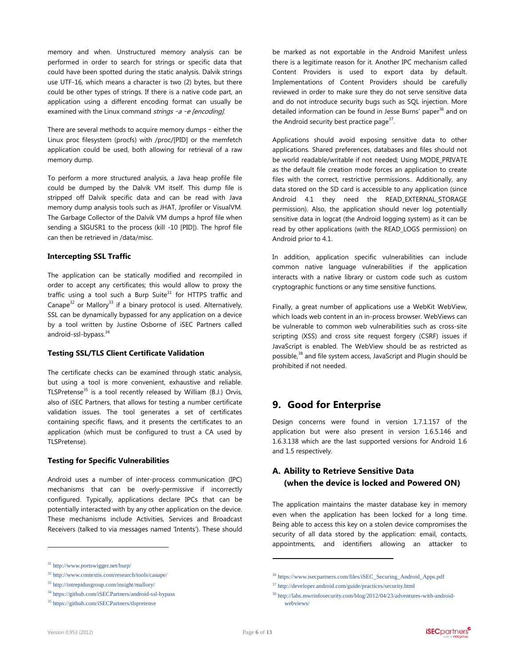memory and when. Unstructured memory analysis can be performed in order to search for strings or specific data that could have been spotted during the static analysis. Dalvik strings use UTF-16, which means a character is two (2) bytes, but there could be other types of strings. If there is a native code part, an application using a different encoding format can usually be examined with the Linux command strings -a -e [encoding].

There are several methods to acquire memory dumps – either the Linux proc filesystem (procfs) with /proc/[PID] or the memfetch application could be used, both allowing for retrieval of a raw memory dump.

To perform a more structured analysis, a Java heap profile file could be dumped by the Dalvik VM itself. This dump file is stripped off Dalvik specific data and can be read with Java memory dump analysis tools such as JHAT, Jprofiler or VisualVM. The Garbage Collector of the Dalvik VM dumps a hprof file when sending a SIGUSR1 to the process (kill -10 [PID]). The hprof file can then be retrieved in /data/misc.

#### **Intercepting SSL Traffic**

The application can be statically modified and recompiled in order to accept any certificates; this would allow to proxy the traffic using a tool such a Burp Suite $31$  for HTTPS traffic and Canape $32$  or Mallory<sup>33</sup> if a binary protocol is used. Alternatively, SSL can be dynamically bypassed for any application on a device by a tool written by Justine Osborne of iSEC Partners called android-ssl-bypass. 34

#### **Testing SSL/TLS Client Certificate Validation**

The certificate checks can be examined through static analysis, but using a tool is more convenient, exhaustive and reliable. TLSPretense $35$  is a tool recently released by William (B.J.) Orvis, also of iSEC Partners, that allows for testing a number certificate validation issues. The tool generates a set of certificates containing specific flaws, and it presents the certificates to an application (which must be configured to trust a CA used by TLSPretense).

#### **Testing for Specific Vulnerabilities**

Android uses a number of inter-process communication (IPC) mechanisms that can be overly-permissive if incorrectly configured. Typically, applications declare IPCs that can be potentially interacted with by any other application on the device. These mechanisms include Activities, Services and Broadcast Receivers (talked to via messages named 'Intents'). These should

be marked as not exportable in the Android Manifest unless there is a legitimate reason for it. Another IPC mechanism called Content Providers is used to export data by default. Implementations of Content Providers should be carefully reviewed in order to make sure they do not serve sensitive data and do not introduce security bugs such as SQL injection. More detailed information can be found in Jesse Burns' paper<sup>36</sup> and on the Android security best practice page<sup>37</sup>.

Applications should avoid exposing sensitive data to other applications. Shared preferences, databases and files should not be world readable/writable if not needed; Using MODE\_PRIVATE as the default file creation mode forces an application to create files with the correct, restrictive permissions.. Additionally, any data stored on the SD card is accessible to any application (since Android 4.1 they need the READ\_EXTERNAL\_STORAGE permission). Also, the application should never log potentially sensitive data in logcat (the Android logging system) as it can be read by other applications (with the READ\_LOGS permission) on Android prior to 4.1.

In addition, application specific vulnerabilities can include common native language vulnerabilities if the application interacts with a native library or custom code such as custom cryptographic functions or any time sensitive functions.

Finally, a great number of applications use a WebKit WebView, which loads web content in an in-process browser. WebViews can be vulnerable to common web vulnerabilities such as cross-site scripting (XSS) and cross site request forgery (CSRF) issues if JavaScript is enabled. The WebView should be as restricted as possible, <sup>38</sup> and file system access, JavaScript and Plugin should be prohibited if not needed.

### **9. Good for Enterprise**

Design concerns were found in version 1.7.1.157 of the application but were also present in version 1.6.5.146 and 1.6.3.138 which are the last supported versions for Android 1.6 and 1.5 respectively.

## **A. Ability to Retrieve Sensitive Data (when the device is locked and Powered ON)**

The application maintains the master database key in memory even when the application has been locked for a long time. Being able to access this key on a stolen device compromises the security of all data stored by the application: email, contacts, appointments, and identifiers allowing an attacker to

 $\overline{a}$ 

<sup>31</sup> <http://www.portswigger.net/burp/>

<sup>32</sup> <http://www.contextis.com/research/tools/canape/>

<sup>33</sup> <http://intrepidusgroup.com/insight/mallory/>

<sup>34</sup> <https://github.com/iSECPartners/android-ssl-bypass>

<sup>35</sup> <https://github.com/iSECPartners/tlspretense>

<sup>36</sup> [https://www.isecpartners.com/files/iSEC\\_Securing\\_Android\\_Apps.pdf](https://www.isecpartners.com/files/iSEC_Securing_Android_Apps.pdf)

<sup>37</sup> <http://developer.android.com/guide/practices/security.html>

<sup>38</sup> [http://labs.mwrinfosecurity.com/blog/2012/04/23/adventures-with-android](http://labs.mwrinfosecurity.com/blog/2012/04/23/adventures-with-android-webviews/)[webviews/](http://labs.mwrinfosecurity.com/blog/2012/04/23/adventures-with-android-webviews/)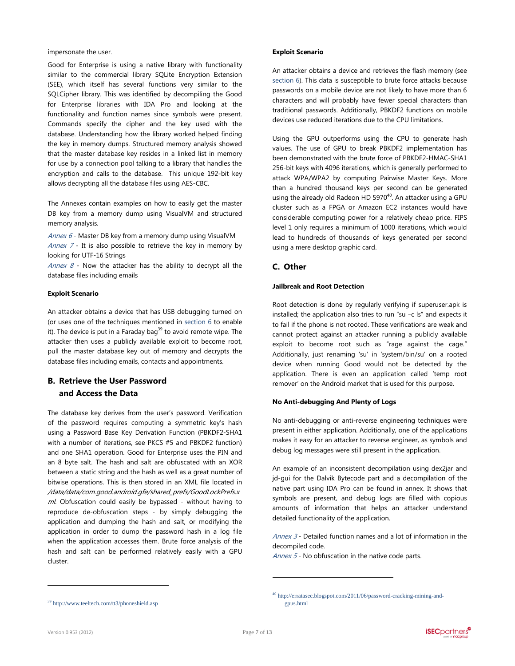impersonate the user.

Good for Enterprise is using a native library with functionality similar to the commercial library SQLite Encryption Extension (SEE), which itself has several functions very similar to the SQLCipher library. This was identified by decompiling the Good for Enterprise libraries with IDA Pro and looking at the functionality and function names since symbols were present. Commands specify the cipher and the key used with the database. Understanding how the library worked helped finding the key in memory dumps. Structured memory analysis showed that the master database key resides in a linked list in memory for use by a connection pool talking to a library that handles the encryption and calls to the database. This unique 192-bit key allows decrypting all the database files using AES-CBC.

The Annexes contain examples on how to easily get the master DB key from a memory dump using VisualVM and structured memory analysis.

[Annex 6](#page-11-0) - Master DB key from a memory dump using VisualVM Annex  $7$  - It is also possible to retrieve the key in memory by looking for UTF-16 Strings

Annex  $8$  - Now the attacker has the ability to decrypt all the database files including emails

#### **Exploit Scenario**

An attacker obtains a device that has USB debugging turned on (or uses one of the techniques mentioned in [section](#page-2-0) 6 to enable it). The device is put in a Faraday bag $39$  to avoid remote wipe. The attacker then uses a publicly available exploit to become root, pull the master database key out of memory and decrypts the database files including emails, contacts and appointments.

### **B. Retrieve the User Password and Access the Data**

The database key derives from the user's password. Verification of the password requires computing a symmetric key's hash using a Password Base Key Derivation Function (PBKDF2-SHA1 with a number of iterations, see PKCS #5 and PBKDF2 function) and one SHA1 operation. Good for Enterprise uses the PIN and an 8 byte salt. The hash and salt are obfuscated with an XOR between a static string and the hash as well as a great number of bitwise operations. This is then stored in an XML file located in /data/data/com.good.android.gfe/shared\_prefs/GoodLockPrefs.x ml. Obfuscation could easily be bypassed - without having to reproduce de-obfuscation steps - by simply debugging the application and dumping the hash and salt, or modifying the application in order to dump the password hash in a log file when the application accesses them. Brute force analysis of the hash and salt can be performed relatively easily with a GPU cluster.

#### **Exploit Scenario**

An attacker obtains a device and retrieves the flash memory (see [section 6\)](#page-2-0). This data is susceptible to brute force attacks because passwords on a mobile device are not likely to have more than 6 characters and will probably have fewer special characters than traditional passwords. Additionally, PBKDF2 functions on mobile devices use reduced iterations due to the CPU limitations.

Using the GPU outperforms using the CPU to generate hash values. The use of GPU to break PBKDF2 implementation has been demonstrated with the brute force of PBKDF2-HMAC-SHA1 256-bit keys with 4096 iterations, which is generally performed to attack WPA/WPA2 by computing Pairwise Master Keys. More than a hundred thousand keys per second can be generated using the already old Radeon HD 5970 $^{40}$ . An attacker using a GPU cluster such as a FPGA or Amazon EC2 instances would have considerable computing power for a relatively cheap price. FIPS level 1 only requires a minimum of 1000 iterations, which would lead to hundreds of thousands of keys generated per second using a mere desktop graphic card.

### **C. Other**

#### **Jailbreak and Root Detection**

Root detection is done by regularly verifying if superuser.apk is installed; the application also tries to run "su –c ls" and expects it to fail if the phone is not rooted. These verifications are weak and cannot protect against an attacker running a publicly available exploit to become root such as "rage against the cage." Additionally, just renaming 'su' in 'system/bin/su' on a rooted device when running Good would not be detected by the application. There is even an application called 'temp root remover' on the Android market that is used for this purpose.

#### **No Anti-debugging And Plenty of Logs**

No anti-debugging or anti-reverse engineering techniques were present in either application. Additionally, one of the applications makes it easy for an attacker to reverse engineer, as symbols and debug log messages were still present in the application.

An example of an inconsistent decompilation using dex2jar and jd-gui for the Dalvik Bytecode part and a decompilation of the native part using IDA Pro can be found in annex. It shows that symbols are present, and debug logs are filled with copious amounts of information that helps an attacker understand detailed functionality of the application.

Annex  $3$  - Detailed function names and a lot of information in the decompiled code.

[Annex 5](#page-11-1) - No obfuscation in the native code parts.

 $\overline{a}$ 

<sup>39</sup> <http://www.teeltech.com/tt3/phoneshield.asp>

<sup>40</sup> [http://erratasec.blogspot.com/2011/06/password-cracking-mining-and](http://erratasec.blogspot.com/2011/06/password-cracking-mining-and-gpus.html)[gpus.html](http://erratasec.blogspot.com/2011/06/password-cracking-mining-and-gpus.html)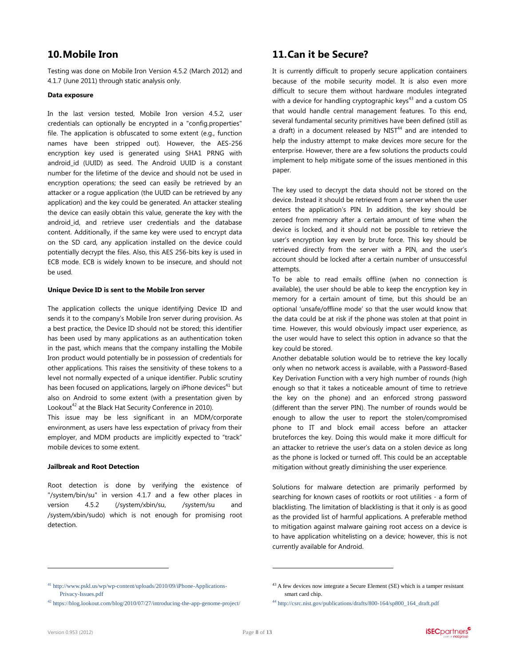# <span id="page-7-0"></span>**10.Mobile Iron**

Testing was done on Mobile Iron Version 4.5.2 (March 2012) and 4.1.7 (June 2011) through static analysis only.

#### **Data exposure**

In the last version tested, Mobile Iron version 4.5.2, user credentials can optionally be encrypted in a "config.properties" file. The application is obfuscated to some extent (e.g., function names have been stripped out). However, the AES-256 encryption key used is generated using SHA1 PRNG with android\_id (UUID) as seed. The Android UUID is a constant number for the lifetime of the device and should not be used in encryption operations; the seed can easily be retrieved by an attacker or a rogue application (the UUID can be retrieved by any application) and the key could be generated. An attacker stealing the device can easily obtain this value, generate the key with the android\_id, and retrieve user credentials and the database content. Additionally, if the same key were used to encrypt data on the SD card, any application installed on the device could potentially decrypt the files. Also, this AES 256-bits key is used in ECB mode. ECB is widely known to be insecure, and should not be used.

#### **Unique Device ID is sent to the Mobile Iron server**

The application collects the unique identifying Device ID and sends it to the company's Mobile Iron server during provision. As a best practice, the Device ID should not be stored; this identifier has been used by many applications as an authentication token in the past, which means that the company installing the Mobile Iron product would potentially be in possession of credentials for other applications. This raises the sensitivity of these tokens to a level not normally expected of a unique identifier. Public scrutiny has been focused on applications, largely on iPhone devices $41$  but also on Android to some extent (with a presentation given by Lookout $42$  at the Black Hat Security Conference in 2010).

This issue may be less significant in an MDM/corporate environment, as users have less expectation of privacy from their employer, and MDM products are implicitly expected to "track" mobile devices to some extent.

#### **Jailbreak and Root Detection**

Root detection is done by verifying the existence of "/system/bin/su" in version 4.1.7 and a few other places in version 4.5.2 (/system/xbin/su, /system/su and /system/xbin/sudo) which is not enough for promising root detection.

# **11.Can it be Secure?**

It is currently difficult to properly secure application containers because of the mobile security model. It is also even more difficult to secure them without hardware modules integrated with a device for handling cryptographic keys $43$  and a custom OS that would handle central management features. To this end, several fundamental security primitives have been defined (still as a draft) in a document released by NIST $44$  and are intended to help the industry attempt to make devices more secure for the enterprise. However, there are a few solutions the products could implement to help mitigate some of the issues mentioned in this paper.

The key used to decrypt the data should not be stored on the device. Instead it should be retrieved from a server when the user enters the application's PIN. In addition, the key should be zeroed from memory after a certain amount of time when the device is locked, and it should not be possible to retrieve the user's encryption key even by brute force. This key should be retrieved directly from the server with a PIN, and the user's account should be locked after a certain number of unsuccessful attempts.

To be able to read emails offline (when no connection is available), the user should be able to keep the encryption key in memory for a certain amount of time, but this should be an optional 'unsafe/offline mode' so that the user would know that the data could be at risk if the phone was stolen at that point in time. However, this would obviously impact user experience, as the user would have to select this option in advance so that the key could be stored.

Another debatable solution would be to retrieve the key locally only when no network access is available, with a Password-Based Key Derivation Function with a very high number of rounds (high enough so that it takes a noticeable amount of time to retrieve the key on the phone) and an enforced strong password (different than the server PIN). The number of rounds would be enough to allow the user to report the stolen/compromised phone to IT and block email access before an attacker bruteforces the key. Doing this would make it more difficult for an attacker to retrieve the user's data on a stolen device as long as the phone is locked or turned off. This could be an acceptable mitigation without greatly diminishing the user experience.

Solutions for malware detection are primarily performed by searching for known cases of rootkits or root utilities - a form of blacklisting. The limitation of blacklisting is that it only is as good as the provided list of harmful applications. A preferable method to mitigation against malware gaining root access on a device is to have application whitelisting on a device; however, this is not currently available for Android.

 $\overline{a}$ 

<sup>41</sup> [http://www.pskl.us/wp/wp-content/uploads/2010/09/iPhone-Applications-](http://www.pskl.us/wp/wp-content/uploads/2010/09/iPhone-Applications-Privacy-Issues.pdf)[Privacy-Issues.pdf](http://www.pskl.us/wp/wp-content/uploads/2010/09/iPhone-Applications-Privacy-Issues.pdf)

<sup>42</sup> <https://blog.lookout.com/blog/2010/07/27/introducing-the-app-genome-project/>

<sup>&</sup>lt;sup>43</sup> A few devices now integrate a Secure Element (SE) which is a tamper resistant smart card chip.

<sup>44</sup> [http://csrc.nist.gov/publications/drafts/800-164/sp800\\_164\\_draft.pdf](http://csrc.nist.gov/publications/drafts/800-164/sp800_164_draft.pdf)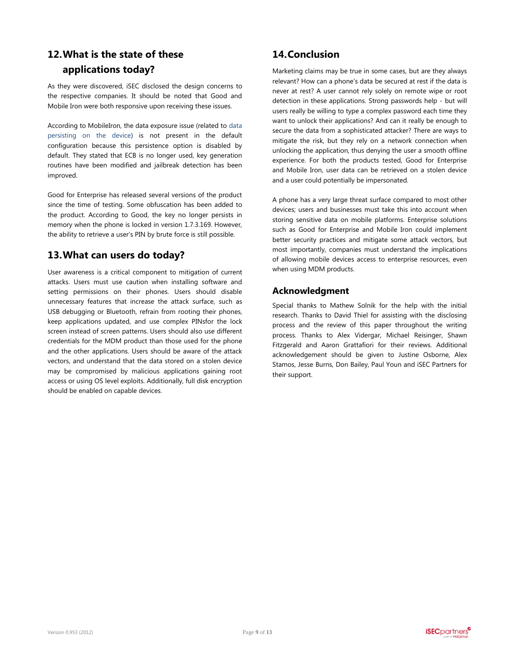# <span id="page-8-0"></span>**12.What is the state of these applications today?**

As they were discovered, iSEC disclosed the design concerns to the respective companies. It should be noted that Good and Mobile Iron were both responsive upon receiving these issues.

According to MobileIron, the data exposure issue (related to [data](#page-7-0)  [persisting on the device\)](#page-7-0) is not present in the default configuration because this persistence option is disabled by default. They stated that ECB is no longer used, key generation routines have been modified and jailbreak detection has been improved.

Good for Enterprise has released several versions of the product since the time of testing. Some obfuscation has been added to the product. According to Good, the key no longer persists in memory when the phone is locked in version 1.7.3.169. However, the ability to retrieve a user's PIN by brute force is still possible.

# **13.What can users do today?**

User awareness is a critical component to mitigation of current attacks. Users must use caution when installing software and setting permissions on their phones. Users should disable unnecessary features that increase the attack surface, such as USB debugging or Bluetooth, refrain from rooting their phones, keep applications updated, and use complex PINsfor the lock screen instead of screen patterns. Users should also use different credentials for the MDM product than those used for the phone and the other applications. Users should be aware of the attack vectors, and understand that the data stored on a stolen device may be compromised by malicious applications gaining root access or using OS level exploits. Additionally, full disk encryption should be enabled on capable devices.

# **14.Conclusion**

Marketing claims may be true in some cases, but are they always relevant? How can a phone's data be secured at rest if the data is never at rest? A user cannot rely solely on remote wipe or root detection in these applications. Strong passwords help - but will users really be willing to type a complex password each time they want to unlock their applications? And can it really be enough to secure the data from a sophisticated attacker? There are ways to mitigate the risk, but they rely on a network connection when unlocking the application, thus denying the user a smooth offline experience. For both the products tested, Good for Enterprise and Mobile Iron, user data can be retrieved on a stolen device and a user could potentially be impersonated.

A phone has a very large threat surface compared to most other devices; users and businesses must take this into account when storing sensitive data on mobile platforms. Enterprise solutions such as Good for Enterprise and Mobile Iron could implement better security practices and mitigate some attack vectors, but most importantly, companies must understand the implications of allowing mobile devices access to enterprise resources, even when using MDM products.

### **Acknowledgment**

Special thanks to Mathew Solnik for the help with the initial research. Thanks to David Thiel for assisting with the disclosing process and the review of this paper throughout the writing process. Thanks to Alex Vidergar, Michael Reisinger, Shawn Fitzgerald and Aaron Grattafiori for their reviews. Additional acknowledgement should be given to Justine Osborne, Alex Stamos, Jesse Burns, Don Bailey, Paul Youn and iSEC Partners for their support.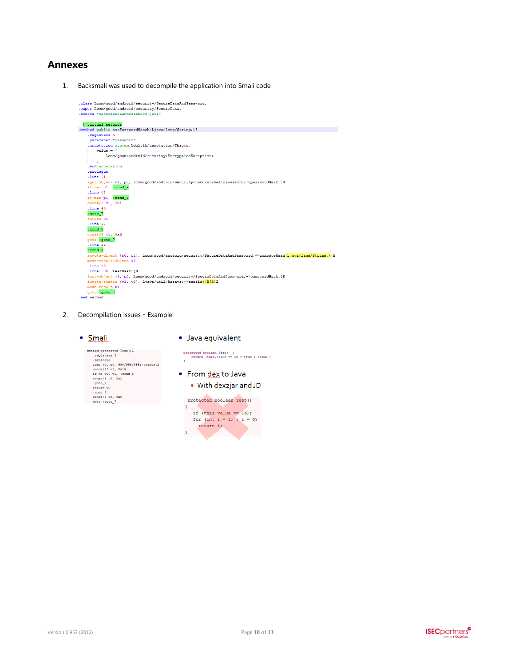### <span id="page-9-0"></span>**Annexes**

1. Backsmali was used to decompile the application into Smali code

| .class Lcom/good/android/security/SecureDataAndPassword;                                                      |
|---------------------------------------------------------------------------------------------------------------|
| .super Lcom/good/android/security/SecureData;                                                                 |
| .source "SecureDataAndPassword.iava"                                                                          |
|                                                                                                               |
| # virtual methods                                                                                             |
| .method public hasPasswordMatch(Ljava/lang/String;)Z                                                          |
| .registers 4                                                                                                  |
| .parameter "password"                                                                                         |
| .annotation system Ldalvik/annotation/Throws;                                                                 |
| $value = 1$                                                                                                   |
| Lcom/qood/android/security/EncryptionException;                                                               |
|                                                                                                               |
| .end annotation                                                                                               |
| .prologue                                                                                                     |
| line 41                                                                                                       |
| iget-object v1, p0, Lcom/good/android/security/SecureDataAndPassword;->passwordHash: [B                       |
| if-nez v1, :cond a                                                                                            |
| line 42                                                                                                       |
| if-nez p1, :cond 8                                                                                            |
| $const/4$ v1, $0x1$                                                                                           |
| .1ine <sub>46</sub>                                                                                           |
| :goto 7                                                                                                       |
| return v1                                                                                                     |
| .1ine <sub>42</sub>                                                                                           |
| :cond 8                                                                                                       |
| $const/4$ v1. $0x0$                                                                                           |
| goto :goto 7                                                                                                  |
| line 44                                                                                                       |
| :cond a                                                                                                       |
| invoke-direct {p0, p1}, Lcom/good/android/security/SecureDataAndPassword;->computeHash(Liava/lang/String;) [B |
| move-result-object v0                                                                                         |
| line 46                                                                                                       |
| .local v0, testHash: [B                                                                                       |
| iget-object v1, p0, Lcom/good/android/security/SecureDataAndPassword;->passwordHash: [B                       |
| invoke-static {v1, v0}, Ljava/util/Arrays;->equals([B[B]Z                                                     |
| move-result v1                                                                                                |
| goto : goto 7                                                                                                 |
| .end method                                                                                                   |

<span id="page-9-1"></span>2. Decompilation issues – Example

#### · Smali

· Java equivalent

| method protected Test () Z         | Þτ |
|------------------------------------|----|
| .registers 3                       |    |
| .prologue                          | ٠  |
| iget v0, p0, ###/###/###:->value:I |    |
| const/16 v1, 0x10                  |    |
| if-ne v0, v1, :cond 8              |    |
| const/4 v0, 0x1                    |    |
| :goto 7                            |    |
| return v0                          |    |
| $:$ cond $8$                       |    |
| const/4 v0. 0x0                    |    |
| goto :goto 7                       |    |
|                                    |    |
|                                    |    |

rotected boolean Test() {<br>return (this.value == 16 ? true : false); From dex to Java • With dex2jar and JD protected boolean Test()



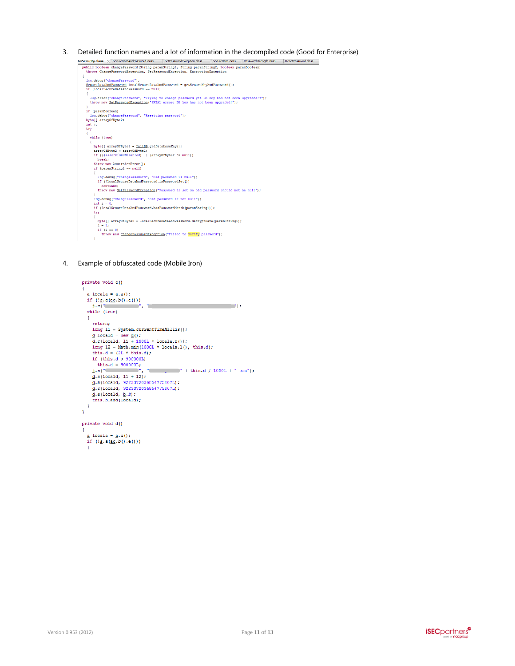```
3. Detailed function names and a lot of information in the decompiled code (Good for Enterprise)<br>
\frac{Gx\text{Scc}+\text{C}x\text{Scc}+\text{C}x\text{Scc}+\text{C}x\text{Scc}+\text{C}x\text{Scc}+\text{C}x\text{Scc}+\text{C}x\text{Scc}+\text{C}x\text{Scc}+\text{C}x\text{Scc}+\text{C}x\text{Scc}+\text{log.debug("changePassword");<br><u>SecureDataAndPassword</u> localSecureDataAndPassword = getSecureKeyAndPassword();<br>if (localSecureDataAndPassword == null)
                           log.error("changePassword", "Trying to change password yet DB key has not been upgraded!?");<br>throw new <u>SetPasswordException</u>("FATAL error: DB key has not been upgraded!");
                      toy-true (unique resolved y . 1174ng to using Posts<br>
into new <u>SerBaswordKxeention</u>("RTAL error: DS key<br>
)<br>
if (paramBoolean)<br>
ioy.debug("changePassword", "Resetting password");<br>
byte[] arrayOfByte2;<br>
int j;<br>
ty
                           while (true)
                             {<br> hyte[] arrayOfByre1 = <u>InitDB</u>.getDatabaseKey();<br> arrayOfByre2 = arrayOfByre1;<br> if ({6assertionsDisabled) || (arrayOfByre2 != null))<br> heak:<br> throw new AssertionError();<br> if (paramString1 == null)
                                 l<br>log.debug("changePassword", "Old password is null");<br>if (!localSecureDataAndPassword.isPasswordSet())
                                       \frac{1}{\text{continue}}throw new SetPasswordException ("Password is set so old password should not be null");
                                .<br>log.debug("changePassword", "Old password is not null");
                              \begin{array}{ll} \text{int i = 0;}\\ \text{if (localSecureDataAndPassword.hasPasswordMatch(paramString1))}; \end{array}try
                                  byte[] arrayOfByte3 = localSecureDataAndPassword.decryptData(paramString1);
                                  \pi (1 == 0)
                                       throw new ChangePasswordException ("Failed to verify password");
                              \Lambda
```
<span id="page-10-0"></span>4. Example of obfuscated code (Mobile Iron)

```
private void c()a locala = a.a();
   if (\underline{3}.a(\underline{ac}.b(),e())\frac{1}{1} \cdot c \frac{1}{1} while (true)<br>while (true)
   \mathcal{F}return:
      long 11 = System.currentTimeMillis();
      \label{eq:2} \begin{array}{ll} \frac{1}{2} \text{ local} = -y \cdot \alpha(1); \\ \frac{1}{2} \cdot \alpha(1) \cdot \alpha(1) + 10001 \cdot 1 \cdot \alpha(1) \\ \frac{1}{2} \cdot \alpha(1) \cdot \alpha(1) + 10001 \cdot 1 \cdot 1 \cdot \alpha(1) \\ \text{long } 12 = \text{Math.min}(10001 \cdot 1 \cdot \alpha(1a.1)), \text{ this.d}; \end{array}this.d = (2L * this.d);<br>if (this.d > 900000L)
         this.d = 900000L;
       \underline{d}.a(locald, \underline{b}.b);this.b.add(locald);
  \rightarrow\overline{1}private void d()
   \underline{a} locala = \underline{a}.a();
   if (!\underline{s}.a(\underline{ac}.b()) . e())\mathcal{I}
```
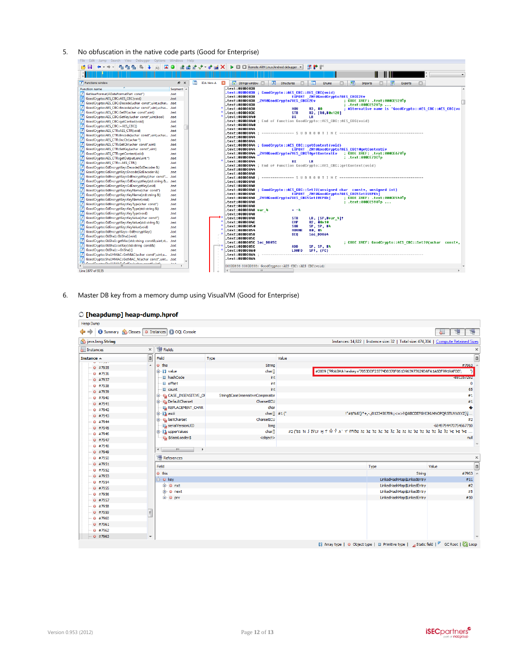### <span id="page-11-1"></span>5. No obfuscation in the native code parts (Good for Enterprise)

| FUE FUIL<br>$3001$ $\sqrt{100}$<br><b>UDUOID WINOOWS</b><br>$\overline{\mathbf{A}}$                                      | $\frac{1}{\cosh n}$<br>肅<br><b>A</b> |                   | Remote ARM Linux/Android debugger<br>$\mathbf{P}$ $\mathbb{R}^{\times}$<br>回                                             |
|--------------------------------------------------------------------------------------------------------------------------|--------------------------------------|-------------------|--------------------------------------------------------------------------------------------------------------------------|
|                                                                                                                          |                                      |                   |                                                                                                                          |
|                                                                                                                          |                                      |                   |                                                                                                                          |
| $f$ Functions window                                                                                                     | a x<br>頂                             | <b>IDA View-A</b> | 回<br>'s' Strings window<br>凮<br>囲<br>丽<br>$\overline{A}$<br>Structures<br>歴<br><b>Enums</b><br>Imports<br><b>Exports</b> |
| <b>Function name</b><br>Segment /                                                                                        |                                      |                   | text:AAADD838                                                                                                            |
| F<br>GetYearFormat(ADateFormatPart const*)<br>text                                                                       |                                      |                   | text:000DD838 ; GoodCrypto::AES CBC::AES CBC(void).<br>EXPORT ZM10GoodCrupto7AES CBCC2Ev<br>text:000DD838.               |
| GoodCrypto::AES CBC::AES CBC(void)<br>.text                                                                              |                                      |                   | text:000DD838 ZN10GoodCrupto7AES CBCC2Ev<br>CODE XREF: .text:000CE520Tp                                                  |
| GoodCrypto::AES_CBC::Decode(uchar_const*,uint,uchar .text                                                                |                                      |                   | .text:000CE528Tp<br>text:000DD838.                                                                                       |
| GoodCrypto::AES CBC::Encode(uchar const*,uint,uchar<br>.text                                                             |                                      |                   | text:000DD838<br><b>MOU</b><br>R3. #0<br>; Alternative name is 'GoodCrupto::AES CBC::AES CBC(vo                          |
| GoodCrypto::AES_CBC::SetIV(uchar_const*,uint)<br>text                                                                    |                                      |                   | <b>STR</b><br>text:000DD83C.<br>R3, [R0,#0x128]                                                                          |
| GoodCrypto::AES_CBC::SetKey(uchar_const*,uint,bool)<br>.text                                                             |                                      |                   | <b>BX</b><br>text:000DD840.<br>LR<br>text:000DD840 ; End of function GoodCrupto::AES CBC::AES CBC(void).                 |
| GoodCrypto::AES CBC::getContext(void)<br>text                                                                            |                                      |                   | text:000DD840.                                                                                                           |
| GoodCrypto::AES_CBC::~AES_CBC()<br>text<br>GoodCrypto::AES_CTR::AES_CTR(void)<br>text                                    |                                      |                   | text:000DD844.                                                                                                           |
| GoodCrvpto::AES CTR::Encode(uchar_const*.uint.uchar<br>text                                                              |                                      |                   |                                                                                                                          |
| GoodCrypto::AES CTR::IncCtr(uchar *)<br>.text                                                                            |                                      |                   | text:000DD844.                                                                                                           |
| GoodCrypto::AES_CTR::SetCtr(uchar_const*,uint)<br>text                                                                   |                                      |                   | text:000DD844.                                                                                                           |
| GoodCrypto::AES_CTR::SetKey(uchar const*,uint)<br>.text                                                                  |                                      |                   | .text:000DD844 : GoodCrupto::AES CBC::qetContext(void)<br>EXPORT ZM10GoodCrupto7AES CBC10getContextEv<br>text:000DD844.  |
| GoodCrypto::AES_CTR::getContext(void)<br>text                                                                            |                                      |                   | text:000DD844 ZN10GoodCrypto7AES CBC10qetContextEv.<br>; CODE XREF: .text:000CE670Tp                                     |
| GoodCrypto::AES_CTR::getOutputLen(uint *)<br>.text                                                                       |                                      |                   | text:000DD844.<br>: .text:000CE73CTp                                                                                     |
| GoodCrypto::AES CTR::~AES CTR()<br>text                                                                                  |                                      |                   | text:000DD844.<br>BX<br><b>LR</b>                                                                                        |
| GoodCrypto::GdEncryptKey::Decode(GdDecoder &)<br>text                                                                    |                                      |                   | .text:000DD844 ; End of function GoodCrupto::AES CBC::qetContext(void)                                                   |
| GoodCrypto::GdEncryptKey::Encode(GdEncoder &)<br>text                                                                    |                                      |                   | text:000DD844.                                                                                                           |
| GoodCrypto::GdEncryptKey::GdEncryptKey(char const*<br>text                                                               |                                      |                   | text:000DD848.                                                                                                           |
| GoodCrypto::GdEncryptKey::GdEncryptKey(std::string &<br>text                                                             |                                      |                   | text:000DD848.                                                                                                           |
| GoodCrypto::GdEncryptKey::GdEncryptKey(void)<br>text                                                                     |                                      |                   | text:000DD848.                                                                                                           |
| GoodCrypto::GdEncryptKey::KeyName(char const*)<br>text                                                                   |                                      |                   | .text:000DD848 ; GoodCrupto::AES CBC::SetIV(unsigned char const*, unsigned int)                                          |
| GoodCrypto::GdEncryptKey::KeyName(std::string &)<br>text                                                                 |                                      |                   | EXPORT ZN10GoodCrupto7AES CBC5SetIVEPKhi<br>text:000DD848.                                                               |
| GoodCrypto::GdEncryptKey::KeyName(void)<br>$\overline{f}$<br>.text                                                       |                                      |                   | : CODE XREF: .text:000CE540Tp                                                                                            |
| GoodCrypto::GdEncryptKey::KeyType(char const*)<br>text                                                                   |                                      |                   | : .text:000CE590Tp<br>text:000DD848.<br>text:000DD848.                                                                   |
| GoodCrypto::GdEncryptKey::KeyType(std::string &)<br>.text                                                                |                                      |                   | text:000DD848 var 4.<br>$-4$                                                                                             |
| GoodCrypto::GdEncryptKey::KeyType(void)<br>text                                                                          |                                      |                   | text:000DD848.                                                                                                           |
| GoodCrypto::GdEncryptKey::KeyValue(char const*)<br>.text                                                                 |                                      |                   | text:000DD848<br><b>STR</b><br>LR. [SP.#var 41?                                                                          |
| GoodCrypto::GdEncryptKey::KeyValue(std::string &)<br>$\overline{t}$<br>text                                              |                                      |                   | CMP<br>R2, #0x10<br>text:000DD84C                                                                                        |
| GoodCrypto::GdEncryptKey::KeyValue(void)<br>text                                                                         |                                      |                   | SP, SP, #4<br>text:000DD850.<br><b>SUB</b>                                                                               |
| GoodCrypto::GdEncryptKey::~GdEncryptKey()<br>text                                                                        |                                      |                   | text:000DD854.<br><b>MOUNE</b><br>RO, #5<br>text:000DD858.<br>1oc_00864<br><b>BEO</b>                                    |
| GoodCrypto::GtiSha1::GtiSha1(void)<br>text                                                                               |                                      |                   | text:000DD85C                                                                                                            |
| GoodCrypto::GtiSha1::getMac(std::string_const&.uint.st<br>.text                                                          |                                      |                   | text:000DD85C loc DD85C<br>; CODE XREF: GoodCrupto::AES CBC::SetIV(uchar const*,                                         |
| GoodCrypto::GtiSha1::setKey(std::string_const&)<br>text                                                                  |                                      |                   | text:000DD85C<br><b>ADD</b><br>SP. SP. #4                                                                                |
| J<br>GoodCrypto::GtiSha1::~GtiSha1()<br>text                                                                             |                                      |                   | text:000DD860.<br><b>LDMFD</b><br>SP1, {PC}                                                                              |
| GoodCrypto::Sha1HMAC::GetMAC(uchar const*,uint,u<br>text                                                                 |                                      |                   | text:000DD864.                                                                                                           |
| GoodCrypto::Sha1HMAC::GetMAC_N(uchar const*,uint .text<br>F<br>Consideration (Read FRAA Consideration and consideration) |                                      |                   | text:000DD864.                                                                                                           |
| عبدة<br>m.<br>$\mathbb{R}$                                                                                               |                                      |                   | 000DD838 000DD838: GoodCrypto::AES CBC::AES CBC(void)                                                                    |
| Line 1877 of 9135                                                                                                        |                                      |                   | m.                                                                                                                       |

<span id="page-11-0"></span>6. Master DB key from a memory dump using VisualVM (Good for Enterprise)

| $\circ$ [heapdump] heap-dump.hprof |                          |                                               |                                   |       |                                                                                      |                      |             |
|------------------------------------|--------------------------|-----------------------------------------------|-----------------------------------|-------|--------------------------------------------------------------------------------------|----------------------|-------------|
| <b>Heap Dump</b>                   |                          |                                               |                                   |       |                                                                                      |                      |             |
| $\Leftrightarrow$ $\Rightarrow$    |                          | Summary Classes   O Instances   Q OQL Console |                                   |       |                                                                                      | 圈<br>$\circ$         | 瑉           |
| java.lang.String                   |                          |                                               |                                   |       | Instances: 14,822   Instance size: 32   Total size: 474,304   Compute Retained Sizes |                      |             |
| Instances                          | $\times$                 | <b>图 Fields</b>                               |                                   |       |                                                                                      |                      | $\times$    |
| Instance $\triangle$               | m                        | Field                                         | Type                              | Value |                                                                                      |                      | $\boxed{0}$ |
| <b>Manager</b><br>$@$ #7935        | ▲                        | $\bullet$ this                                | String                            |       |                                                                                      | #7963                |             |
| $@$ #7936                          |                          | 由 Kil value                                   | char <sub>1</sub>                 |       | #2009 ("PRAGMA hexkey='7053DDF23774D8370F061D963977629DAFA1A6DF9919AFDD';            |                      | ר           |
| $@$ #7937                          |                          | □ hashCode                                    | int                               |       |                                                                                      | -881357292           |             |
| $@$ #7938                          |                          | <b>■</b> offset                               | int                               |       |                                                                                      |                      | $\Omega$    |
| $@$ #7939                          |                          | <b>El</b> count                               | int                               |       |                                                                                      |                      | 65          |
| $@$ #7940                          |                          | <b>E-O4 CASE_INSENSITIVE_OF</b>               | String\$CaseInsensitiveComparator |       |                                                                                      | #1                   |             |
| $@$ #7941                          |                          | <b>DefaultCharset</b>                         | CharsetICU                        |       |                                                                                      | #1                   |             |
| $@$ #7942                          |                          | <b>IL REPLACEMENT_CHAR</b>                    | char                              |       |                                                                                      |                      | ۰           |
| $@$ #7943                          |                          | 由 () asci                                     | char $\left[\right]$ #1 ("        |       | !"#\$%&'()*+,-./0123456789:;<=>?@ABCDEFGHIJKLMNOPQRSTUVWXYZ[\]                       |                      |             |
| $@$ #7944                          |                          | <b>G-O<sub>4</sub></b> lastCharset            | CharsetICU                        |       |                                                                                      | #2                   |             |
| $@$ #7945                          |                          | serialVersionUID                              | long                              |       |                                                                                      | -6849794470754667710 |             |
|                                    |                          | <b>E-B</b> upperValues                        | char[]                            |       |                                                                                      |                      |             |
| $@$ #7946                          |                          | O <sub>4</sub> \$classLoader\$                | <object></object>                 |       |                                                                                      | null                 |             |
| $@$ #7947                          |                          |                                               |                                   |       |                                                                                      |                      | $\sim$      |
| ◎ #7948                            |                          | m.<br>$\leftarrow$<br>$\ddot{\phantom{1}}$    |                                   |       |                                                                                      |                      |             |
| ◎ #7949                            |                          | 图 References                                  |                                   |       |                                                                                      |                      |             |
| $@$ #7950                          |                          |                                               |                                   |       |                                                                                      |                      | $\times$    |
| $@$ #7951                          |                          | Field                                         |                                   |       | Type                                                                                 | Value                | $\boxed{a}$ |
| $@$ #7952                          |                          | $\bullet$ this                                |                                   |       | String                                                                               | #7963                |             |
| $@$ #7953                          |                          | <b>E</b> o key                                |                                   |       | LinkedHashMap\$LinkedEntrv                                                           | #11                  |             |
| $@$ #7954                          |                          | <b>E</b> Onxt                                 |                                   |       | LinkedHashMap\$LinkedEntry                                                           | #2                   |             |
| $@$ #7955                          |                          | i ⊕ next                                      |                                   |       | LinkedHashMap\$LinkedEntry                                                           | #5                   |             |
| $@$ #7956                          |                          | <b>E</b> o prv                                |                                   |       | LinkedHashMap\$LinkedEntry                                                           | #10                  |             |
| $@$ #7957                          |                          |                                               |                                   |       |                                                                                      |                      |             |
| $@$ #7958                          |                          |                                               |                                   |       |                                                                                      |                      |             |
| $@$ #7959                          | $\equiv$                 |                                               |                                   |       |                                                                                      |                      |             |
| $@$ #7960                          |                          |                                               |                                   |       |                                                                                      |                      |             |
| $@$ #7961                          |                          |                                               |                                   |       |                                                                                      |                      |             |
| @#7962                             |                          |                                               |                                   |       |                                                                                      |                      |             |
| $@$ #7963                          | $\overline{\phantom{a}}$ |                                               |                                   |       |                                                                                      |                      |             |